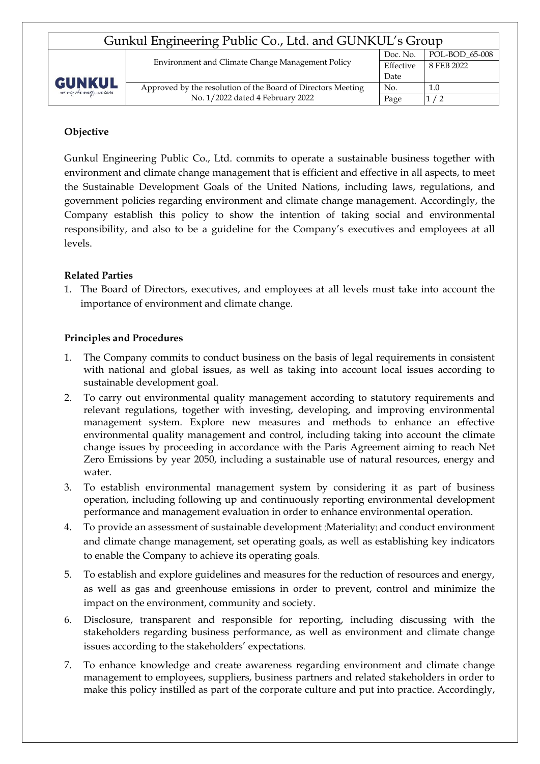| Gunkul Engineering Public Co., Ltd. and GUNKUL's Group |                                                              |           |                |  |  |  |  |
|--------------------------------------------------------|--------------------------------------------------------------|-----------|----------------|--|--|--|--|
| <b>GUNKUL</b><br>not only the every, we care           | Environment and Climate Change Management Policy             | Doc. No.  | POL-BOD 65-008 |  |  |  |  |
|                                                        |                                                              | Effective | 8 FEB 2022     |  |  |  |  |
|                                                        |                                                              | Date      |                |  |  |  |  |
|                                                        | Approved by the resolution of the Board of Directors Meeting | No.       | 1.0            |  |  |  |  |
|                                                        | No. 1/2022 dated 4 February 2022                             | Page      |                |  |  |  |  |

# **Objective**

Gunkul Engineering Public Co., Ltd. commits to operate a sustainable business together with environment and climate change management that is efficient and effective in all aspects, to meet the Sustainable Development Goals of the United Nations, including laws, regulations, and government policies regarding environment and climate change management. Accordingly, the Company establish this policy to show the intention of taking social and environmental responsibility, and also to be a guideline for the Company's executives and employees at all levels.

# **Related Parties**

1. The Board of Directors, executives, and employees at all levels must take into account the importance of environment and climate change.

## **Principles and Procedures**

- 1. The Company commits to conduct business on the basis of legal requirements in consistent with national and global issues, as well as taking into account local issues according to sustainable development goal.
- 2. To carry out environmental quality management according to statutory requirements and relevant regulations, together with investing, developing, and improving environmental management system. Explore new measures and methods to enhance an effective environmental quality management and control, including taking into account the climate change issues by proceeding in accordance with the Paris Agreement aiming to reach Net Zero Emissions by year 2050, including a sustainable use of natural resources, energy and water.
- 3. To establish environmental management system by considering it as part of business operation, including following up and continuously reporting environmental development performance and management evaluation in order to enhance environmental operation.
- 4. To provide an assessment of sustainable development (Materiality) and conduct environment and climate change management, set operating goals, as well as establishing key indicators to enable the Company to achieve its operating goals.
- 5. To establish and explore guidelines and measures for the reduction of resources and energy, as well as gas and greenhouse emissions in order to prevent, control and minimize the impact on the environment, community and society.
- 6. Disclosure, transparent and responsible for reporting, including discussing with the stakeholders regarding business performance, as well as environment and climate change issues according to the stakeholders' expectations.
- 7. To enhance knowledge and create awareness regarding environment and climate change management to employees, suppliers, business partners and related stakeholders in order to make this policy instilled as part of the corporate culture and put into practice. Accordingly,